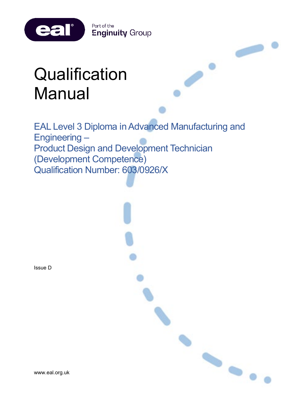

# **Qualification** Manual

EAL Level 3 Diploma in Advanced Manufacturing and Engineering – Product Design and Development Technician (Development Competence) Qualification Number: 603/0926/X

 $\bullet$ 

Issue D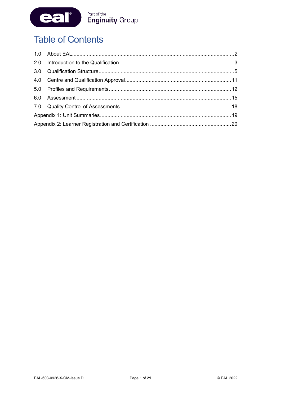

# **Table of Contents**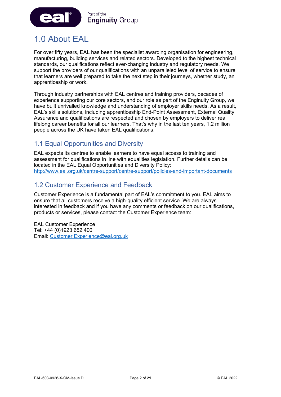

# <span id="page-2-0"></span>1.0 About EAL

For over fifty years, EAL has been the specialist awarding organisation for engineering, manufacturing, building services and related sectors. Developed to the highest technical standards, our qualifications reflect ever-changing industry and regulatory needs. We support the providers of our qualifications with an unparalleled level of service to ensure that learners are well prepared to take the next step in their journeys, whether study, an apprenticeship or work.

Through industry partnerships with EAL centres and training providers, decades of experience supporting our core sectors, and our role as part of the Enginuity Group, we have built unrivalled knowledge and understanding of employer skills needs. As a result, EAL's skills solutions, including apprenticeship End-Point Assessment, External Quality Assurance and qualifications are respected and chosen by employers to deliver real lifelong career benefits for all our learners. That's why in the last ten years, 1.2 million people across the UK have taken EAL qualifications.

# 1.1 Equal Opportunities and Diversity

EAL expects its centres to enable learners to have equal access to training and assessment for qualifications in line with equalities legislation. Further details can be located in the EAL Equal Opportunities and Diversity Policy: <http://www.eal.org.uk/centre-support/centre-support/policies-and-important-documents>

### 1.2 Customer Experience and Feedback

Customer Experience is a fundamental part of EAL's commitment to you. EAL aims to ensure that all customers receive a high-quality efficient service. We are always interested in feedback and if you have any comments or feedback on our qualifications, products or services, please contact the Customer Experience team:

EAL Customer Experience Tel: +44 (0)1923 652 400 Email: [Customer.Experience@eal.org.uk](mailto:EAL%20Customer%20Experience%20%3cCustomer.Experience@eal.org.uk%3e)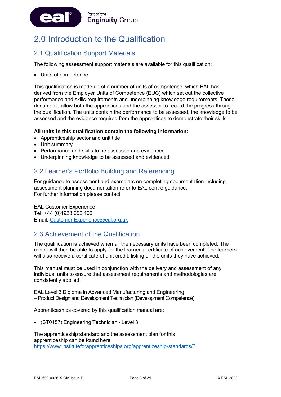

# <span id="page-3-0"></span>2.0 Introduction to the Qualification

# 2.1 Qualification Support Materials

The following assessment support materials are available for this qualification:

• Units of competence

This qualification is made up of a number of units of competence, which EAL has derived from the Employer Units of Competence (EUC) which set out the collective performance and skills requirements and underpinning knowledge requirements. These documents allow both the apprentices and the assessor to record the progress through the qualification. The units contain the performance to be assessed, the knowledge to be assessed and the evidence required from the apprentices to demonstrate their skills.

#### **All units in this qualification contain the following information:**

- Apprenticeship sector and unit title
- Unit summary
- Performance and skills to be assessed and evidenced
- Underpinning knowledge to be assessed and evidenced.

### 2.2 Learner's Portfolio Building and Referencing

For guidance to assessment and exemplars on completing documentation including assessment planning documentation refer to EAL centre guidance. For further information please contact:

EAL Customer Experience Tel: +44 (0)1923 652 400 Email: [Customer.Experience@eal.org.uk](mailto:EAL%20Customer%20Experience%20%3cCustomer.Experience@eal.org.uk%3e)

### 2.3 Achievement of the Qualification

The qualification is achieved when all the necessary units have been completed. The centre will then be able to apply for the learner's certificate of achievement. The learners will also receive a certificate of unit credit, listing all the units they have achieved.

This manual must be used in conjunction with the delivery and assessment of any individual units to ensure that assessment requirements and methodologies are consistently applied.

EAL Level 3 Diploma in Advanced Manufacturing and Engineering – Product Design and Development Technician (Development Competence)

Apprenticeships covered by this qualification manual are:

• (ST0457) Engineering Technician - Level 3

The apprenticeship standard and the assessment plan for this apprenticeship can be found here: <https://www.instituteforapprenticeships.org/apprenticeship-standards/?>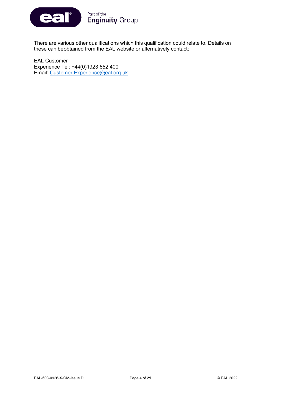

There are various other qualifications which this qualification could relate to. Details on these can beobtained from the EAL website or alternatively contact:

EAL Customer Experience Tel: +44(0)1923 652 400 Email: [Customer.Experience@eal.org.uk](mailto:Customer.Experience@eal.org.uk)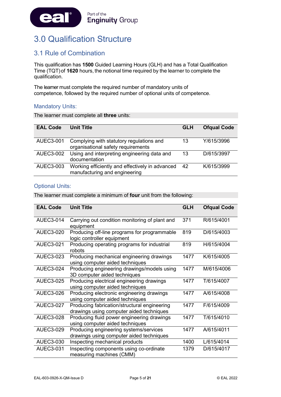

# <span id="page-5-0"></span>3.0 Qualification Structure

# 3.1 Rule of Combination

This qualification has **1500** Guided Learning Hours (GLH) and has a Total Qualification Time (TQT) of **1620** hours, the notional time required by the learner to complete the qualification.

The learner must complete the required number of mandatory units of competence, followed by the required number of optional units of competence.

#### Mandatory Units:

The learner must complete all **three** units:

| <b>EAL Code</b>  | <b>Unit Title</b>                                                                | <b>GLH</b> | <b>Ofqual Code</b> |
|------------------|----------------------------------------------------------------------------------|------------|--------------------|
| AUEC3-001        | Complying with statutory regulations and<br>organisational safety requirements   | 13         | Y/615/3996         |
| <b>AUEC3-002</b> | Using and interpreting engineering data and<br>documentation                     | 13         | D/615/3997         |
| <b>AUEC3-003</b> | Working efficiently and effectively in advanced<br>manufacturing and engineering | 42         | K/615/3999         |

#### Optional Units:

The learner must complete a minimum of **four** unit from the following:

| <b>EAL Code</b>  | <b>Unit Title</b>                                                                        | <b>GLH</b> | <b>Ofqual Code</b> |
|------------------|------------------------------------------------------------------------------------------|------------|--------------------|
| AUEC3-014        | Carrying out condition monitoring of plant and<br>equipment                              | 371        | R/615/4001         |
| AUEC3-020        | Producing off-line programs for programmable<br>logic controller equipment               | 819        | D/615/4003         |
| AUEC3-021        | Producing operating programs for industrial<br>robots                                    | 819        | H/615/4004         |
| <b>AUEC3-023</b> | Producing mechanical engineering drawings<br>using computer aided techniques             | 1477       | K/615/4005         |
| <b>AUEC3-024</b> | Producing engineering drawings/models using<br>3D computer aided techniques              | 1477       | M/615/4006         |
| <b>AUEC3-025</b> | Producing electrical engineering drawings<br>using computer aided techniques             | 1477       | T/615/4007         |
| AUEC3-026        | Producing electronic engineering drawings<br>using computer aided techniques             | 1477       | A/615/4008         |
| <b>AUEC3-027</b> | Producing fabrication/structural engineering<br>drawings using computer aided techniques | 1477       | F/615/4009         |
| <b>AUEC3-028</b> | Producing fluid power engineering drawings<br>using computer aided techniques            | 1477       | T/615/4010         |
| <b>AUEC3-029</b> | Producing engineering systems/services<br>drawings using computer aided techniques       | 1477       | A/615/4011         |
| <b>AUEC3-030</b> | Inspecting mechanical products                                                           | 1400       | L/615/4014         |
| <b>AUEC3-031</b> | Inspecting components using co-ordinate<br>measuring machines (CMM)                      | 1379       | D/615/4017         |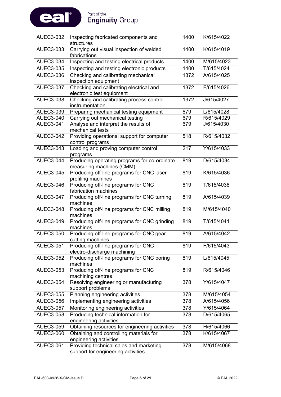

| <b>AUEC3-032</b> | Inspecting fabricated components and<br>structures                            | 1400 | K/615/4022 |
|------------------|-------------------------------------------------------------------------------|------|------------|
| AUEC3-033        | Carrying out visual inspection of welded<br>fabrications                      | 1400 | K/615/4019 |
| <b>AUEC3-034</b> | Inspecting and testing electrical products                                    | 1400 | M/615/4023 |
| <b>AUEC3-035</b> | Inspecting and testing electronic products                                    | 1400 | T/615/4024 |
| AUEC3-036        | Checking and calibrating mechanical<br>inspection equipment                   | 1372 | A/615/4025 |
| <b>AUEC3-037</b> | Checking and calibrating electrical and<br>electronic test equipment          | 1372 | F/615/4026 |
| <b>AUEC3-038</b> | Checking and calibrating process control<br>instrumentation                   | 1372 | J/615/4027 |
| <b>AUEC3-039</b> | Preparing mechanical testing equipment                                        | 679  | L/615/4028 |
| <b>AUEC3-040</b> | Carrying out mechanical testing                                               | 679  | R/615/4029 |
| <b>AUEC3-041</b> | Analyse and interpret the results of<br>mechanical tests                      | 679  | J/615/4030 |
| <b>AUEC3-042</b> | Providing operational support for computer<br>control programs                | 518  | R/615/4032 |
| <b>AUEC3-043</b> | Loading and proving computer control<br>programs                              | 217  | Y/615/4033 |
| <b>AUEC3-044</b> | Producing operating programs for co-ordinate<br>measuring machines (CMM)      | 819  | D/615/4034 |
| <b>AUEC3-045</b> | Producing off-line programs for CNC laser<br>profiling machines               | 819  | K/615/4036 |
| <b>AUEC3-046</b> | Producing off-line programs for CNC<br>fabrication machines                   | 819  | T/615/4038 |
| <b>AUEC3-047</b> | Producing off-line programs for CNC turning<br>machines                       | 819  | A/615/4039 |
| <b>AUEC3-048</b> | Producing off-line programs for CNC milling<br>machines                       | 819  | M/615/4040 |
| <b>AUEC3-049</b> | Producing off-line programs for CNC grinding<br>machines                      | 819  | T/615/4041 |
| <b>AUEC3-050</b> | Producing off-line programs for CNC gear<br>cutting machines                  | 819  | A/615/4042 |
| AUEC3-051        | Producing off-line programs for CNC<br>electro-discharge machining            | 819  | F/615/4043 |
| <b>AUEC3-052</b> | Producing off-line programs for CNC boring<br>machines                        | 819  | L/615/4045 |
| AUEC3-053        | Producing off-line programs for CNC<br>machining centres                      | 819  | R/615/4046 |
| <b>AUEC3-054</b> | Resolving engineering or manufacturing<br>support problems                    | 378  | Y/615/4047 |
| <b>AUEC3-055</b> | Planning engineering activities                                               | 378  | M/615/4054 |
| <b>AUEC3-056</b> | Implementing engineering activities                                           | 378  | A/615/4056 |
| <b>AUEC3-057</b> | Monitoring engineering activities                                             | 378  | Y/615/4064 |
| <b>AUEC3-058</b> | Producing technical information for<br>engineering activities                 | 378  | D/615/4065 |
| <b>AUEC3-059</b> | Obtaining resources for engineering activities                                | 378  | H/615/4066 |
| <b>AUEC3-060</b> | Obtaining and controlling materials for<br>engineering activities             | 378  | K/615/4067 |
| <b>AUEC3-061</b> | Providing technical sales and marketing<br>support for engineering activities | 378  | M/615/4068 |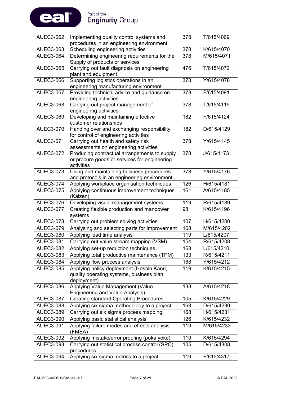

| <b>AUEC3-062</b> | Implementing quality control systems and                                                                   | 378 | T/615/4069 |
|------------------|------------------------------------------------------------------------------------------------------------|-----|------------|
|                  | procedures in an engineering environment                                                                   |     |            |
| <b>AUEC3-063</b> | Scheduling engineering activities                                                                          | 378 | K/615/4070 |
| <b>AUEC3-064</b> | Determining engineering requirements for the<br>Supply of products or services                             | 378 | M/615/4071 |
| <b>AUEC3-065</b> | Carrying out fault diagnosis on engineering<br>plant and equipment                                         | 476 | T/615/4072 |
| <b>AUEC3-066</b> | Supporting logistics operations in an<br>engineering manufacturing environment                             | 378 | Y/615/4078 |
| <b>AUEC3-067</b> | Providing technical advice and guidance on<br>engineering activities                                       | 378 | F/615/4091 |
| <b>AUEC3-068</b> | Carrying out project management of<br>engineering activities                                               | 378 | T/615/4119 |
| <b>AUEC3-069</b> | Developing and maintaining effective<br>customer relationships                                             | 182 | F/615/4124 |
| <b>AUEC3-070</b> | Handing over and exchanging responsibility<br>for control of engineering activities                        | 182 | D/615/4129 |
| <b>AUEC3-071</b> | Carrying out health and safety risk<br>assessments on engineering activities                               | 378 | Y/615/4145 |
| <b>AUEC3-072</b> | Producing contractual arrangements to supply<br>or procure goods or services for engineering<br>activities | 378 | J/615/4173 |
| <b>AUEC3-073</b> | Using and maintaining business procedures<br>and protocols in an engineering environment                   | 378 | Y/615/4176 |
| <b>AUEC3-074</b> | Applying workplace organisation techniques                                                                 | 126 | H/615/4181 |
| <b>AUEC3-075</b> | Applying continuous improvement techniques<br>(Kaizen)                                                     | 161 | A/615/4185 |
| <b>AUEC3-076</b> | Developing visual management systems                                                                       | 119 | R/615/4189 |
| <b>AUEC3-077</b> | Creating flexible production and manpower<br>systems                                                       | 98  | K/615/4196 |
| <b>AUEC3-078</b> | Carrying out problem solving activities                                                                    | 107 | H/615/4200 |
| <b>AUEC3-079</b> | Analysing and selecting parts for Improvement                                                              | 168 | M/615/4202 |
| <b>AUEC3-080</b> | Applying lead time analysis                                                                                | 119 | L/615/4207 |
| <b>AUEC3-081</b> | Carrying out value stream mapping (VSM)                                                                    | 154 | R/615/4208 |
| <b>AUEC3-082</b> | Applying set-up reduction techniques                                                                       | 168 | L/615/4210 |
| <b>AUEC3-083</b> | Applying total productive maintenance (TPM)                                                                | 133 | R/615/4211 |
| <b>AUEC3-084</b> | Applying flow process analysis                                                                             | 168 | Y/615/4212 |
| <b>AUEC3-085</b> | Applying policy deployment (Hoshin Kanri,<br>quality operating systems, business plan<br>deployment)       | 119 | K/615/4215 |
| <b>AUEC3-086</b> | Applying Value Management (Value<br><b>Engineering and Value Analysis)</b>                                 | 133 | A/615/4218 |
| <b>AUEC3-087</b> | <b>Creating standard Operating Procedures</b>                                                              | 105 | K/615/4229 |
| <b>AUEC3-088</b> | Applying six sigma methodology to a project                                                                | 168 | D/615/4230 |
| <b>AUEC3-089</b> | Carrying out six sigma process mapping                                                                     | 168 | H/615/4231 |
| <b>AUEC3-090</b> | Applying basic statistical analysis                                                                        | 126 | K/615/4232 |
| <b>AUEC3-091</b> | Applying failure modes and effects analysis<br>(FMEA)                                                      | 119 | M/615/4233 |
| <b>AUEC3-092</b> | Applying mistake/error proofing (poka yoke)                                                                | 119 | K/615/4294 |
| <b>AUEC3-093</b> | Carrying out statistical process control (SPC)<br>procedures                                               | 105 | D/615/4308 |
| <b>AUEC3-094</b> | Applying six sigma metrics to a project                                                                    | 119 | F/615/4317 |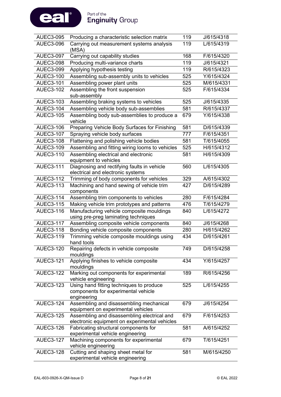

| <b>AUEC3-095</b> | Producing a characteristic selection matrix                                                    |     | J/615/4318 |
|------------------|------------------------------------------------------------------------------------------------|-----|------------|
| <b>AUEC3-096</b> | Carrying out measurement systems analysis<br>(MSA)                                             |     | L/615/4319 |
| <b>AUEC3-097</b> | Carrying out capability studies                                                                | 168 | F/615/4320 |
| <b>AUEC3-098</b> | Producing multi-variance charts                                                                | 119 | J/615/4321 |
| <b>AUEC3-099</b> | Applying hypothesis testing                                                                    | 119 | R/615/4323 |
| <b>AUEC3-100</b> | Assembling sub-assembly units to vehicles                                                      | 525 | Y/615/4324 |
| <b>AUEC3-101</b> | Assembling power plant units                                                                   | 525 | M/615/4331 |
| <b>AUEC3-102</b> | Assembling the front suspension<br>sub-assembly                                                | 525 | F/615/4334 |
| <b>AUEC3-103</b> | Assembling braking systems to vehicles                                                         | 525 | J/615/4335 |
| <b>AUEC3-104</b> | Assembling vehicle body sub-assemblies                                                         | 581 | R/615/4337 |
| <b>AUEC3-105</b> | Assembling body sub-assemblies to produce a<br>vehicle                                         | 679 | Y/615/4338 |
| <b>AUEC3-106</b> | Preparing Vehicle Body Surfaces for Finishing                                                  | 581 | D/615/4339 |
| <b>AUEC3-107</b> | Spraying vehicle body surfaces                                                                 | 777 | F/615/4351 |
| <b>AUEC3-108</b> | Flattening and polishing vehicle bodies                                                        | 581 | T/615/4055 |
| <b>AUEC3-109</b> | Assembling and fitting wiring looms to vehicles                                                | 525 | H/615/4312 |
| <b>AUEC3-110</b> | Assembling electrical and electronic<br>equipment to vehicles                                  | 581 | H/615/4309 |
| <b>AUEC3-111</b> | Diagnosing and rectifying faults in vehicle<br>electrical and electronic systems               | 560 | L/615/4305 |
| <b>AUEC3-112</b> | Trimming of body components for vehicles                                                       | 329 | A/615/4302 |
| <b>AUEC3-113</b> | Machining and hand sewing of vehicle trim<br>components                                        | 427 | D/615/4289 |
| <b>AUEC3-114</b> | Assembling trim components to vehicles                                                         | 280 | F/615/4284 |
| <b>AUEC3-115</b> | Making vehicle trim prototypes and patterns                                                    | 476 | T/615/4279 |
| <b>AUEC3-116</b> | Manufacturing vehicle composite mouldings<br>using pre-preg laminating techniques              | 840 | L/615/4272 |
| <b>AUEC3-117</b> | Assembling composite vehicle components                                                        | 840 | J/615/4268 |
| <b>AUEC3-118</b> | Bonding vehicle composite components                                                           | 280 | H/615/4262 |
| <b>AUEC3-119</b> | Trimming vehicle composite mouldings using<br>hand tools                                       | 434 | D/615/4261 |
| <b>AUEC3-120</b> | Repairing defects in vehicle composite<br>mouldings                                            | 749 | D/615/4258 |
| <b>AUEC3-121</b> | Applying finishes to vehicle composite<br>mouldings                                            | 434 | Y/615/4257 |
| <b>AUEC3-122</b> | Marking out components for experimental<br>vehicle engineering                                 | 189 | R/615/4256 |
| <b>AUEC3-123</b> | Using hand fitting techniques to produce<br>components for experimental vehicle<br>engineering | 525 | L/615/4255 |
| <b>AUEC3-124</b> | Assembling and disassembling mechanical<br>equipment on experimental vehicles                  | 679 | J/615/4254 |
| <b>AUEC3-125</b> | Assembling and disassembling electrical and<br>electronic equipment on experimental vehicles   | 679 | F/615/4253 |
| <b>AUEC3-126</b> | Fabricating structural components for<br>experimental vehicle engineering                      | 581 | A/615/4252 |
| <b>AUEC3-127</b> | Machining components for experimental<br>vehicle engineering                                   | 679 | T/615/4251 |
| <b>AUEC3-128</b> | Cutting and shaping sheet metal for<br>experimental vehicle engineering                        | 581 | M/615/4250 |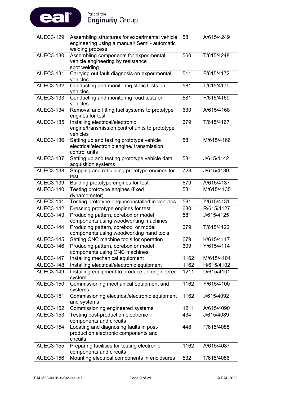

| <b>AUEC3-129</b> | Assembling structures for experimental vehicle<br>engineering using a manual/ Semi - automatic<br>welding process | 581  | A/615/4249 |
|------------------|-------------------------------------------------------------------------------------------------------------------|------|------------|
| <b>AUEC3-130</b> | Assembling components for experimental<br>vehicle engineering by resistance<br>spot welding                       | 560  | T/615/4248 |
| <b>AUEC3-131</b> | Carrying out fault diagnosis on experimental<br>vehicles                                                          | 511  | F/615/4172 |
| <b>AUEC3-132</b> | Conducting and monitoring static tests on<br>vehicles                                                             | 581  | T/615/4170 |
| <b>AUEC3-133</b> | Conducting and monitoring road tests on<br>vehicles                                                               | 581  | F/615/4169 |
| <b>AUEC3-134</b> | Removal and fitting fuel systems to prototype<br>engines for test                                                 | 630  | A/615/4168 |
| <b>AUEC3-135</b> | Installing electrical/electronic<br>engine/transmission control units to prototype<br>vehicles                    | 679  | T/615/4167 |
| <b>AUEC3-136</b> | Setting up and testing prototype vehicle<br>electrical/electronic engine/ transmission<br>control units           | 581  | M/615/4166 |
| <b>AUEC3-137</b> | Setting up and testing prototype vehicle data<br>acquisition systems                                              | 581  | J/615/4142 |
| <b>AUEC3-138</b> | Stripping and rebuilding prototype engines for<br>test                                                            | 728  | J/615/4139 |
| <b>AUEC3-139</b> | Building prototype engines for test                                                                               | 679  | A/615/4137 |
| <b>AUEC3-140</b> | Testing prototype engines (fixed<br>dynamometer)                                                                  | 581  | M/615/4135 |
| <b>AUEC3-141</b> | Testing prototype engines installed in vehicles                                                                   | 581  | Y/615/4131 |
| <b>AUEC3-142</b> | Dressing prototype engines for test                                                                               | 630  | R/615/4127 |
| <b>AUEC3-143</b> | Producing pattern, corebox or model<br>components using woodworking machines                                      | 581  | J/615/4125 |
| <b>AUEC3-144</b> | Producing pattern, corebox, or model<br>components using woodworking hand tools                                   | 679  | T/615/4122 |
| <b>AUEC3-145</b> | Setting CNC machine tools for operation                                                                           | 679  | K/615/4117 |
| <b>AUEC3-146</b> | Producing pattern, corebox or model<br>components using CNC machines                                              | 609  | Y/615/4114 |
| <b>AUEC3-147</b> | Installing mechanical equipment                                                                                   | 1162 | M/615/4104 |
| <b>AUEC3-148</b> | Installing electrical/electronic equipment                                                                        | 1162 | H/615/4102 |
| <b>AUEC3-149</b> | Installing equipment to produce an engineered<br>system                                                           | 1211 | D/615/4101 |
| <b>AUEC3-150</b> | Commissioning mechanical equipment and<br>systems                                                                 | 1162 | Y/615/4100 |
| <b>AUEC3-151</b> | Commissioning electrical/electronic equipment<br>and systems                                                      | 1162 | J/615/4092 |
| <b>AUEC3-152</b> | Commissioning engineered systems                                                                                  | 1211 | A/615/4090 |
| <b>AUEC3-153</b> | Testing post-production electronic<br>components and circuits                                                     | 434  | J/615/4089 |
| <b>AUEC3-154</b> | Locating and diagnosing faults in post-<br>production electronic components and<br>circuits                       | 448  | F/615/4088 |
| <b>AUEC3-155</b> | Preparing facilities for testing electronic<br>components and circuits                                            | 1162 | A/615/4087 |
| <b>AUEC3-156</b> | Mounting electrical components in enclosures                                                                      | 532  | T/615/4086 |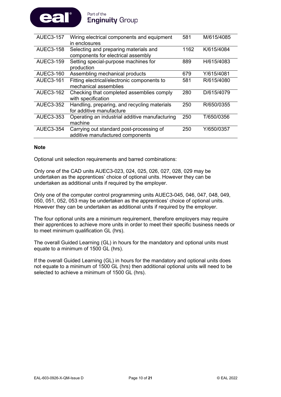

| <b>AUEC3-157</b> | Wiring electrical components and equipment<br>in enclosures                  | 581  | M/615/4085 |
|------------------|------------------------------------------------------------------------------|------|------------|
| <b>AUEC3-158</b> | Selecting and preparing materials and<br>components for electrical assembly  | 1162 | K/615/4084 |
| <b>AUEC3-159</b> | Setting special-purpose machines for<br>production                           | 889  | H/615/4083 |
| <b>AUEC3-160</b> | Assembling mechanical products                                               | 679  | Y/615/4081 |
| <b>AUEC3-161</b> | Fitting electrical/electronic components to<br>mechanical assemblies         | 581  | R/615/4080 |
| <b>AUEC3-162</b> | Checking that completed assemblies comply<br>with specification              | 280  | D/615/4079 |
| <b>AUEC3-352</b> | Handling, preparing, and recycling materials<br>for additive manufacture     | 250  | R/650/0355 |
| AUEC3-353        | Operating an industrial additive manufacturing<br>machine                    | 250  | T/650/0356 |
| <b>AUEC3-354</b> | Carrying out standard post-processing of<br>additive manufactured components | 250  | Y/650/0357 |
|                  |                                                                              |      |            |

#### **Note**

Optional unit selection requirements and barred combinations:

Only one of the CAD units AUEC3-023, 024, 025, 026, 027, 028, 029 may be undertaken as the apprentices' choice of optional units. However they can be undertaken as additional units if required by the employer.

Only one of the computer control programming units AUEC3-045, 046, 047, 048, 049, 050, 051, 052, 053 may be undertaken as the apprentices' choice of optional units. However they can be undertaken as additional units if required by the employer.

The four optional units are a minimum requirement, therefore employers may require their apprentices to achieve more units in order to meet their specific business needs or to meet minimum qualification GL (hrs).

The overall Guided Learning (GL) in hours for the mandatory and optional units must equate to a minimum of 1500 GL (hrs).

If the overall Guided Learning (GL) in hours for the mandatory and optional units does not equate to a minimum of 1500 GL (hrs) then additional optional units will need to be selected to achieve a minimum of 1500 GL (hrs).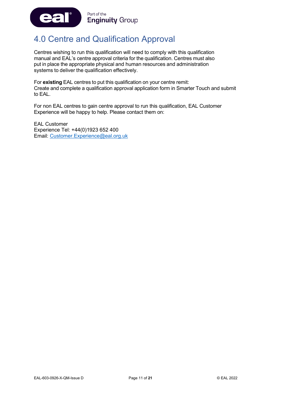

# <span id="page-11-0"></span>4.0 Centre and Qualification Approval

Centres wishing to run this qualification will need to comply with this qualification manual and EAL's centre approval criteria for the qualification. Centres must also put in place the appropriate physical and human resources and administration systems to deliver the qualification effectively.

For **existing** EAL centres to put this qualification on your centre remit: Create and complete a qualification approval application form in Smarter Touch and submit to EAL.

For non EAL centres to gain centre approval to run this qualification, EAL Customer Experience will be happy to help. Please contact them on:

EAL Customer Experience Tel: +44(0)1923 652 400 Email: [Customer.Experience@eal.org.uk](mailto:Customer.Experience@eal.org.uk)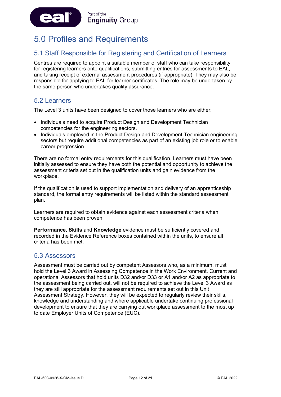

# <span id="page-12-0"></span>5.0 Profiles and Requirements

### 5.1 Staff Responsible for Registering and Certification of Learners

Centres are required to appoint a suitable member of staff who can take responsibility for registering learners onto qualifications, submitting entries for assessments to EAL, and taking receipt of external assessment procedures (if appropriate). They may also be responsible for applying to EAL for learner certificates. The role may be undertaken by the same person who undertakes quality assurance.

### 5.2 Learners

The Level 3 units have been designed to cover those learners who are either:

- Individuals need to acquire Product Design and Development Technician competencies for the engineering sectors.
- Individuals employed in the Product Design and Development Technician engineering sectors but require additional competencies as part of an existing job role or to enable career progression.

There are no formal entry requirements for this qualification. Learners must have been initially assessed to ensure they have both the potential and opportunity to achieve the assessment criteria set out in the qualification units and gain evidence from the workplace.

If the qualification is used to support implementation and delivery of an apprenticeship standard, the formal entry requirements will be listed within the standard assessment plan.

Learners are required to obtain evidence against each assessment criteria when competence has been proven.

**Performance, Skills** and **Knowledge** evidence must be sufficiently covered and recorded in the Evidence Reference boxes contained within the units, to ensure all criteria has been met.

### 5.3 Assessors

Assessment must be carried out by competent Assessors who, as a minimum, must hold the Level 3 Award in Assessing Competence in the Work Environment. Current and operational Assessors that hold units D32 and/or D33 or A1 and/or A2 as appropriate to the assessment being carried out, will not be required to achieve the Level 3 Award as they are still appropriate for the assessment requirements set out in this Unit Assessment Strategy. However, they will be expected to regularly review their skills, knowledge and understanding and where applicable undertake continuing professional development to ensure that they are carrying out workplace assessment to the most up to date Employer Units of Competence (EUC).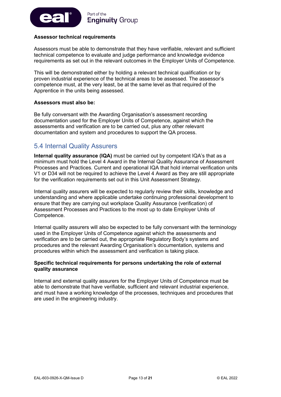

#### **Assessor technical requirements**

Assessors must be able to demonstrate that they have verifiable, relevant and sufficient technical competence to evaluate and judge performance and knowledge evidence requirements as set out in the relevant outcomes in the Employer Units of Competence.

This will be demonstrated either by holding a relevant technical qualification or by proven industrial experience of the technical areas to be assessed. The assessor's competence must, at the very least, be at the same level as that required of the Apprentice in the units being assessed.

#### **Assessors must also be:**

Be fully conversant with the Awarding Organisation's assessment recording documentation used for the Employer Units of Competence, against which the assessments and verification are to be carried out, plus any other relevant documentation and system and procedures to support the QA process.

### 5.4 Internal Quality Assurers

**Internal quality assurance (IQA)** must be carried out by competent IQA's that as a minimum must hold the Level 4 Award in the Internal Quality Assurance of Assessment Processes and Practices. Current and operational IQA that hold internal verification units V1 or D34 will not be required to achieve the Level 4 Award as they are still appropriate for the verification requirements set out in this Unit Assessment Strategy.

Internal quality assurers will be expected to regularly review their skills, knowledge and understanding and where applicable undertake continuing professional development to ensure that they are carrying out workplace Quality Assurance (verification) of Assessment Processes and Practices to the most up to date Employer Units of Competence.

Internal quality assurers will also be expected to be fully conversant with the terminology used in the Employer Units of Competence against which the assessments and verification are to be carried out, the appropriate Regulatory Body's systems and procedures and the relevant Awarding Organisation's documentation, systems and procedures within which the assessment and verification is taking place.

#### **Specific technical requirements for persons undertaking the role of external quality assurance**

Internal and external quality assurers for the Employer Units of Competence must be able to demonstrate that have verifiable, sufficient and relevant industrial experience, and must have a working knowledge of the processes, techniques and procedures that are used in the engineering industry.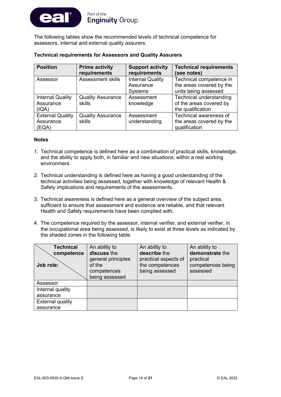

The following tables show the recommended levels of technical competence for assessors, internal and external quality assurers.

| <b>Position</b>                               | <b>Prime activity</b><br>requirements | <b>Support activity</b><br>requirements                | <b>Technical requirements</b><br>(see notes)                                   |
|-----------------------------------------------|---------------------------------------|--------------------------------------------------------|--------------------------------------------------------------------------------|
| Assessor                                      | <b>Assessment skills</b>              | <b>Internal Quality</b><br>Assurance<br><b>Systems</b> | Technical competence in<br>the areas covered by the<br>units being assessed    |
| <b>Internal Quality</b><br>Assurance<br>(IQA) | <b>Quality Assurance</b><br>skills    | Assessment<br>knowledge                                | <b>Technical understanding</b><br>of the areas covered by<br>the qualification |
| <b>External Quality</b><br>Assurance<br>(EQA) | <b>Quality Assurance</b><br>skills    | Assessment<br>understanding                            | Technical awareness of<br>the areas covered by the<br>qualification            |

#### **Notes**

- 1. Technical competence is defined here as a combination of practical skills, knowledge, and the ability to apply both, in familiar and new situations, within a real working environment.
- 2. Technical understanding is defined here as having a good understanding of the technical activities being assessed, together with knowledge of relevant Health & Safety implications and requirements of the assessments.
- 3. Technical awareness is defined here as a general overview of the subject area, sufficient to ensure that assessment and evidence are reliable, and that relevant Health and Safety requirements have been complied with.
- 4. The competence required by the assessor, internal verifier, and external verifier, in the occupational area being assessed, is likely to exist at three levels as indicated by the shaded zones in the following table.

| <b>Technical</b>        | An ability to                     | An ability to                        | An ability to                  |
|-------------------------|-----------------------------------|--------------------------------------|--------------------------------|
| competence              | discuss the<br>general principles | describe the<br>practical aspects of | demonstrate the                |
| Job role:               | of the                            | the competences                      | practical<br>competences being |
|                         | competences<br>being assessed     | being assessed                       | assessed                       |
| Assessor                |                                   |                                      |                                |
| Internal quality        |                                   |                                      |                                |
| assurance               |                                   |                                      |                                |
| <b>External quality</b> |                                   |                                      |                                |
| assurance               |                                   |                                      |                                |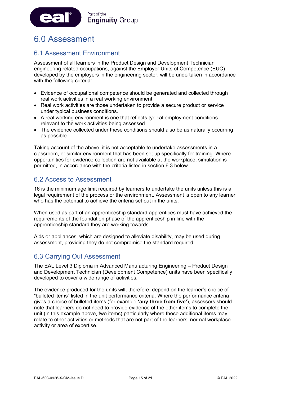

# <span id="page-15-0"></span>6.0 Assessment

### 6.1 Assessment Environment

Assessment of all learners in the Product Design and Development Technician engineering related occupations, against the Employer Units of Competence (EUC) developed by the employers in the engineering sector, will be undertaken in accordance with the following criteria: -

- Evidence of occupational competence should be generated and collected through real work activities in a real working environment.
- Real work activities are those undertaken to provide a secure product or service under typical business conditions.
- A real working environment is one that reflects typical employment conditions relevant to the work activities being assessed.
- The evidence collected under these conditions should also be as naturally occurring as possible.

Taking account of the above, it is not acceptable to undertake assessments in a classroom, or similar environment that has been set up specifically for training. Where opportunities for evidence collection are not available at the workplace, simulation is permitted, in accordance with the criteria listed in section 6.3 below.

### 6.2 Access to Assessment

16 is the minimum age limit required by learners to undertake the units unless this is a legal requirement of the process or the environment. Assessment is open to any learner who has the potential to achieve the criteria set out in the units.

When used as part of an apprenticeship standard apprentices must have achieved the requirements of the foundation phase of the apprenticeship in line with the apprenticeship standard they are working towards.

Aids or appliances, which are designed to alleviate disability, may be used during assessment, providing they do not compromise the standard required.

### 6.3 Carrying Out Assessment

The EAL Level 3 Diploma in Advanced Manufacturing Engineering – Product Design and Development Technician (Development Competence) units have been specifically developed to cover a wide range of activities.

The evidence produced for the units will, therefore, depend on the learner's choice of "bulleted items" listed in the unit performance criteria. Where the performance criteria gives a choice of bulleted items (for example **'any three from five'**), assessors should note that learners do not need to provide evidence of the other items to complete the unit (in this example above, two items) particularly where these additional items may relate to other activities or methods that are not part of the learners' normal workplace activity or area of expertise.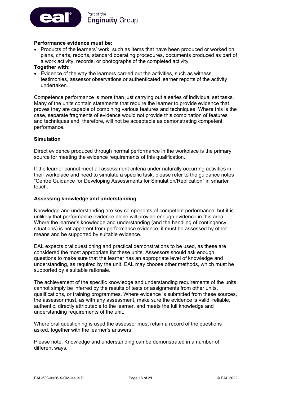

#### **Performance evidence must be:**

- Products of the learners' work, such as items that have been produced or worked on, plans, charts, reports, standard operating procedures, documents produced as part of a work activity, records, or photographs of the completed activity.
- **Together with:**
- Evidence of the way the learners carried out the activities, such as witness testimonies, assessor observations or authenticated learner reports of the activity undertaken.

Competence performance is more than just carrying out a series of individual set tasks. Many of the units contain statements that require the learner to provide evidence that proves they are capable of combining various features and techniques. Where this is the case, separate fragments of evidence would not provide this combination of features and techniques and, therefore, will not be acceptable as demonstrating competent performance.

#### **Simulation**

Direct evidence produced through normal performance in the workplace is the primary source for meeting the evidence requirements of this qualification.

If the learner cannot meet all assessment criteria under naturally occurring activities in their workplace and need to simulate a specific task, please refer to the guidance notes "Centre Guidance for Developing Assessments for Simulation/Replication" in smarter touch.

#### **Assessing knowledge and understanding**

Knowledge and understanding are key components of competent performance, but it is unlikely that performance evidence alone will provide enough evidence in this area. Where the learner's knowledge and understanding (and the handling of contingency situations) is not apparent from performance evidence, it must be assessed by other means and be supported by suitable evidence.

EAL expects oral questioning and practical demonstrations to be used, as these are considered the most appropriate for these units. Assessors should ask enough questions to make sure that the learner has an appropriate level of knowledge and understanding, as required by the unit. EAL may choose other methods, which must be supported by a suitable rationale.

The achievement of the specific knowledge and understanding requirements of the units cannot simply be inferred by the results of tests or assignments from other units, qualifications, or training programmes. Where evidence is submitted from these sources, the assessor must, as with any assessment, make sure the evidence is valid, reliable, authentic, directly attributable to the learner, and meets the full knowledge and understanding requirements of the unit.

Where oral questioning is used the assessor must retain a record of the questions asked, together with the learner's answers.

Please note: Knowledge and understanding can be demonstrated in a number of different ways.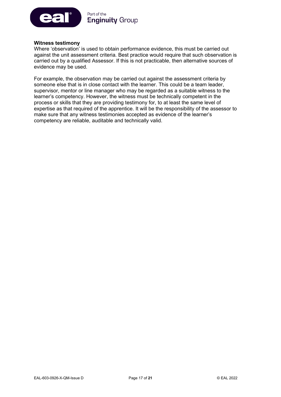

#### **Witness testimony**

Where 'observation' is used to obtain performance evidence, this must be carried out against the unit assessment criteria. Best practice would require that such observation is carried out by a qualified Assessor. If this is not practicable, then alternative sources of evidence may be used.

For example, the observation may be carried out against the assessment criteria by someone else that is in close contact with the learner. This could be a team leader, supervisor, mentor or line manager who may be regarded as a suitable witness to the learner's competency. However, the witness must be technically competent in the process or skills that they are providing testimony for, to at least the same level of expertise as that required of the apprentice. It will be the responsibility of the assessor to make sure that any witness testimonies accepted as evidence of the learner's competency are reliable, auditable and technically valid.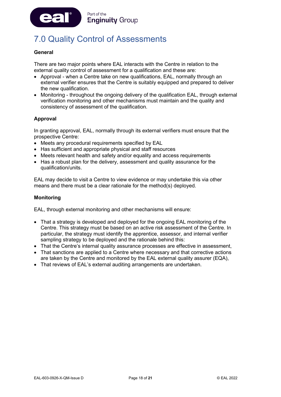

# <span id="page-18-0"></span>7.0 Quality Control of Assessments

#### **General**

There are two major points where EAL interacts with the Centre in relation to the external quality control of assessment for a qualification and these are:

- Approval when a Centre take on new qualifications, EAL, normally through an external verifier ensures that the Centre is suitably equipped and prepared to deliver the new qualification.
- Monitoring throughout the ongoing delivery of the qualification EAL, through external verification monitoring and other mechanisms must maintain and the quality and consistency of assessment of the qualification.

#### **Approval**

In granting approval, EAL, normally through its external verifiers must ensure that the prospective Centre:

- Meets any procedural requirements specified by EAL
- Has sufficient and appropriate physical and staff resources
- Meets relevant health and safety and/or equality and access requirements
- Has a robust plan for the delivery, assessment and quality assurance for the qualification/units.

EAL may decide to visit a Centre to view evidence or may undertake this via other means and there must be a clear rationale for the method(s) deployed.

#### **Monitoring**

EAL, through external monitoring and other mechanisms will ensure:

- That a strategy is developed and deployed for the ongoing EAL monitoring of the Centre. This strategy must be based on an active risk assessment of the Centre. In particular, the strategy must identify the apprentice, assessor, and internal verifier sampling strategy to be deployed and the rationale behind this:
- That the Centre's internal quality assurance processes are effective in assessment,
- That sanctions are applied to a Centre where necessary and that corrective actions are taken by the Centre and monitored by the EAL external quality assurer (EQA),
- That reviews of EAL's external auditing arrangements are undertaken.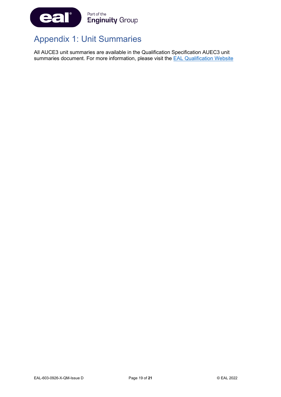

# <span id="page-19-0"></span>Appendix 1: Unit Summaries

All AUCE3 unit summaries are available in the Qualification Specification AUEC3 unit summaries document. For more information, please visit the **EAL Qualification Website**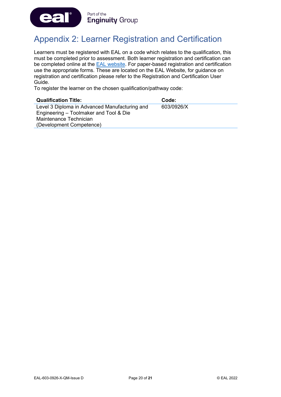

# <span id="page-20-0"></span>Appendix 2: Learner Registration and Certification

Learners must be registered with EAL on a code which relates to the qualification, this must be completed prior to assessment. Both learner registration and certification can be completed online at the [EAL website.](https://eal.org.uk/) For paper-based registration and certification use the appropriate forms. These are located on the EAL Website, for guidance on registration and certification please refer to the Registration and Certification User Guide.

To register the learner on the chosen qualification/pathway code:

| <b>Qualification Title:</b>                   | Code:      |
|-----------------------------------------------|------------|
| Level 3 Diploma in Advanced Manufacturing and | 603/0926/X |
| Engineering – Toolmaker and Tool & Die        |            |
| Maintenance Technician                        |            |
| (Development Competence)                      |            |
|                                               |            |